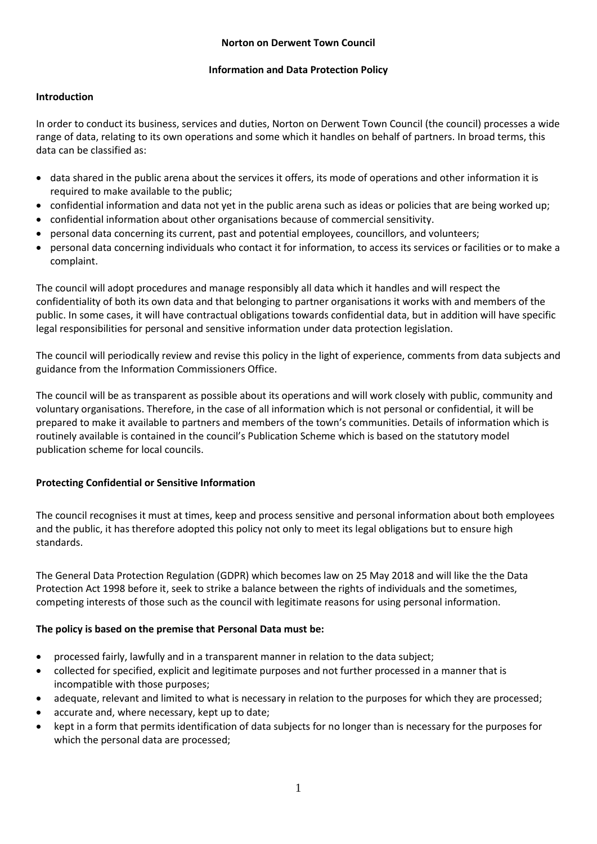## **Information and Data Protection Policy**

# **Introduction**

In order to conduct its business, services and duties, Norton on Derwent Town Council (the council) processes a wide range of data, relating to its own operations and some which it handles on behalf of partners. In broad terms, this data can be classified as:

- data shared in the public arena about the services it offers, its mode of operations and other information it is required to make available to the public;
- confidential information and data not yet in the public arena such as ideas or policies that are being worked up;
- confidential information about other organisations because of commercial sensitivity.
- personal data concerning its current, past and potential employees, councillors, and volunteers;
- personal data concerning individuals who contact it for information, to access its services or facilities or to make a complaint.

The council will adopt procedures and manage responsibly all data which it handles and will respect the confidentiality of both its own data and that belonging to partner organisations it works with and members of the public. In some cases, it will have contractual obligations towards confidential data, but in addition will have specific legal responsibilities for personal and sensitive information under data protection legislation.

The council will periodically review and revise this policy in the light of experience, comments from data subjects and guidance from the Information Commissioners Office.

The council will be as transparent as possible about its operations and will work closely with public, community and voluntary organisations. Therefore, in the case of all information which is not personal or confidential, it will be prepared to make it available to partners and members of the town's communities. Details of information which is routinely available is contained in the council's Publication Scheme which is based on the statutory model publication scheme for local councils.

# **Protecting Confidential or Sensitive Information**

The council recognises it must at times, keep and process sensitive and personal information about both employees and the public, it has therefore adopted this policy not only to meet its legal obligations but to ensure high standards.

The General Data Protection Regulation (GDPR) which becomes law on 25 May 2018 and will like the the Data Protection Act 1998 before it, seek to strike a balance between the rights of individuals and the sometimes, competing interests of those such as the council with legitimate reasons for using personal information.

# **The policy is based on the premise that Personal Data must be:**

- processed fairly, lawfully and in a transparent manner in relation to the data subject;
- collected for specified, explicit and legitimate purposes and not further processed in a manner that is incompatible with those purposes;
- adequate, relevant and limited to what is necessary in relation to the purposes for which they are processed;
- accurate and, where necessary, kept up to date;
- kept in a form that permits identification of data subjects for no longer than is necessary for the purposes for which the personal data are processed;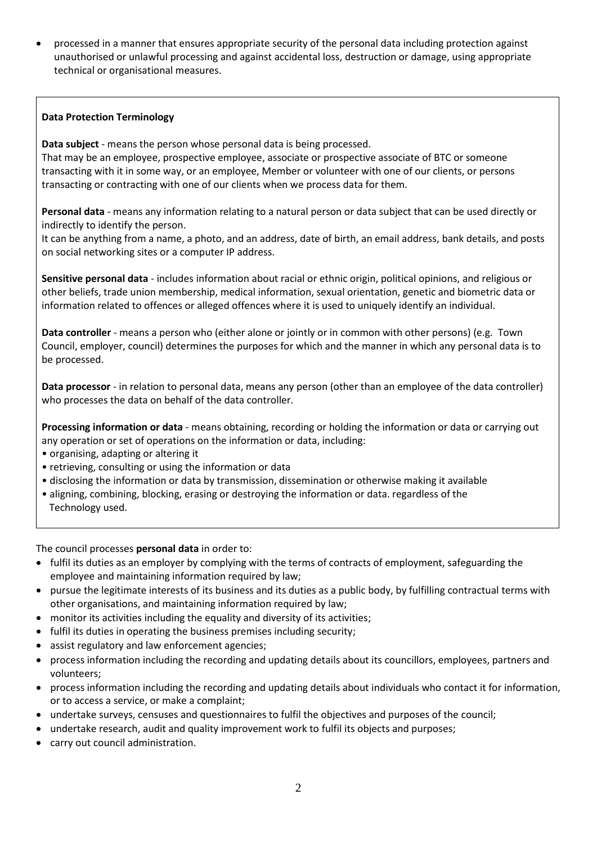processed in a manner that ensures appropriate security of the personal data including protection against unauthorised or unlawful processing and against accidental loss, destruction or damage, using appropriate technical or organisational measures.

## **Data Protection Terminology**

**Data subject** - means the person whose personal data is being processed.

That may be an employee, prospective employee, associate or prospective associate of BTC or someone transacting with it in some way, or an employee, Member or volunteer with one of our clients, or persons transacting or contracting with one of our clients when we process data for them.

**Personal data** - means any information relating to a natural person or data subject that can be used directly or indirectly to identify the person.

It can be anything from a name, a photo, and an address, date of birth, an email address, bank details, and posts on social networking sites or a computer IP address.

**Sensitive personal data** - includes information about racial or ethnic origin, political opinions, and religious or other beliefs, trade union membership, medical information, sexual orientation, genetic and biometric data or information related to offences or alleged offences where it is used to uniquely identify an individual.

**Data controller** - means a person who (either alone or jointly or in common with other persons) (e.g. Town Council, employer, council) determines the purposes for which and the manner in which any personal data is to be processed.

**Data processor** - in relation to personal data, means any person (other than an employee of the data controller) who processes the data on behalf of the data controller.

**Processing information or data** - means obtaining, recording or holding the information or data or carrying out any operation or set of operations on the information or data, including:

- organising, adapting or altering it
- retrieving, consulting or using the information or data
- disclosing the information or data by transmission, dissemination or otherwise making it available
- aligning, combining, blocking, erasing or destroying the information or data. regardless of the Technology used.

The council processes **personal data** in order to:

- fulfil its duties as an employer by complying with the terms of contracts of employment, safeguarding the employee and maintaining information required by law;
- pursue the legitimate interests of its business and its duties as a public body, by fulfilling contractual terms with other organisations, and maintaining information required by law;
- monitor its activities including the equality and diversity of its activities;
- fulfil its duties in operating the business premises including security;
- assist regulatory and law enforcement agencies;
- process information including the recording and updating details about its councillors, employees, partners and volunteers;
- process information including the recording and updating details about individuals who contact it for information, or to access a service, or make a complaint;
- undertake surveys, censuses and questionnaires to fulfil the objectives and purposes of the council;
- undertake research, audit and quality improvement work to fulfil its objects and purposes;
- carry out council administration.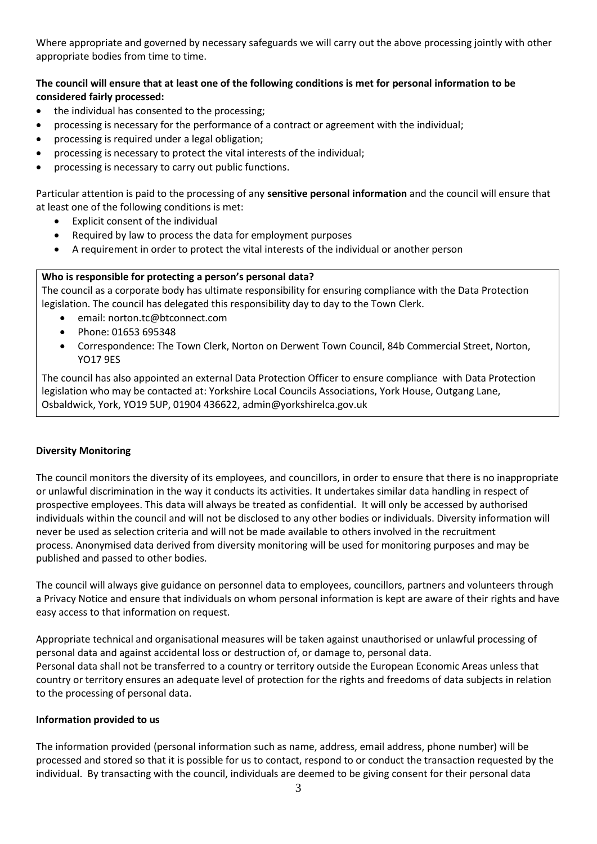Where appropriate and governed by necessary safeguards we will carry out the above processing jointly with other appropriate bodies from time to time.

# **The council will ensure that at least one of the following conditions is met for personal information to be considered fairly processed:**

- the individual has consented to the processing;
- processing is necessary for the performance of a contract or agreement with the individual;
- processing is required under a legal obligation;
- processing is necessary to protect the vital interests of the individual;
- processing is necessary to carry out public functions.

Particular attention is paid to the processing of any **sensitive personal information** and the council will ensure that at least one of the following conditions is met:

- Explicit consent of the individual
- Required by law to process the data for employment purposes
- A requirement in order to protect the vital interests of the individual or another person

#### **Who is responsible for protecting a person's personal data?**

The council as a corporate body has ultimate responsibility for ensuring compliance with the Data Protection legislation. The council has delegated this responsibility day to day to the Town Clerk.

- email: norton.tc@btconnect.com
- Phone: 01653 695348
- Correspondence: The Town Clerk, Norton on Derwent Town Council, 84b Commercial Street, Norton, YO17 9ES

The council has also appointed an external Data Protection Officer to ensure compliance with Data Protection legislation who may be contacted at: Yorkshire Local Councils Associations, York House, Outgang Lane, Osbaldwick, York, YO19 5UP, 01904 436622, [admin@yorkshirelca.gov.uk](mailto:admin@yorkshirelca.gov.uk)

#### **Diversity Monitoring**

The council monitors the diversity of its employees, and councillors, in order to ensure that there is no inappropriate or unlawful discrimination in the way it conducts its activities. It undertakes similar data handling in respect of prospective employees. This data will always be treated as confidential. It will only be accessed by authorised individuals within the council and will not be disclosed to any other bodies or individuals. Diversity information will never be used as selection criteria and will not be made available to others involved in the recruitment process. Anonymised data derived from diversity monitoring will be used for monitoring purposes and may be published and passed to other bodies.

The council will always give guidance on personnel data to employees, councillors, partners and volunteers through a Privacy Notice and ensure that individuals on whom personal information is kept are aware of their rights and have easy access to that information on request.

Appropriate technical and organisational measures will be taken against unauthorised or unlawful processing of personal data and against accidental loss or destruction of, or damage to, personal data. Personal data shall not be transferred to a country or territory outside the European Economic Areas unless that country or territory ensures an adequate level of protection for the rights and freedoms of data subjects in relation to the processing of personal data.

#### **Information provided to us**

The information provided (personal information such as name, address, email address, phone number) will be processed and stored so that it is possible for us to contact, respond to or conduct the transaction requested by the individual. By transacting with the council, individuals are deemed to be giving consent for their personal data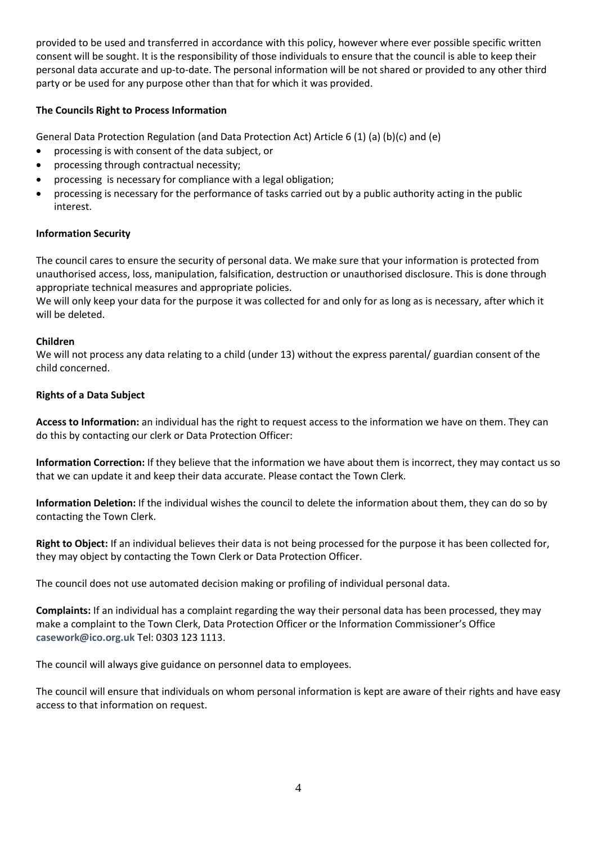provided to be used and transferred in accordance with this policy, however where ever possible specific written consent will be sought. It is the responsibility of those individuals to ensure that the council is able to keep their personal data accurate and up-to-date. The personal information will be not shared or provided to any other third party or be used for any purpose other than that for which it was provided.

## **The Councils Right to Process Information**

General Data Protection Regulation (and Data Protection Act) Article 6 (1) (a) (b)(c) and (e)

- processing is with consent of the data subject, or
- processing through contractual necessity;
- processing is necessary for compliance with a legal obligation;
- processing is necessary for the performance of tasks carried out by a public authority acting in the public interest.

### **Information Security**

The council cares to ensure the security of personal data. We make sure that your information is protected from unauthorised access, loss, manipulation, falsification, destruction or unauthorised disclosure. This is done through appropriate technical measures and appropriate policies.

We will only keep your data for the purpose it was collected for and only for as long as is necessary, after which it will be deleted.

### **Children**

We will not process any data relating to a child (under 13) without the express parental/ guardian consent of the child concerned.

### **Rights of a Data Subject**

**Access to Information:** an individual has the right to request access to the information we have on them. They can do this by contacting our clerk or Data Protection Officer:

**Information Correction:** If they believe that the information we have about them is incorrect, they may contact us so that we can update it and keep their data accurate. Please contact the Town Clerk.

**Information Deletion:** If the individual wishes the council to delete the information about them, they can do so by contacting the Town Clerk.

**Right to Object:** If an individual believes their data is not being processed for the purpose it has been collected for, they may object by contacting the Town Clerk or Data Protection Officer.

The council does not use automated decision making or profiling of individual personal data.

**Complaints:** If an individual has a complaint regarding the way their personal data has been processed, they may make a complaint to the Town Clerk, Data Protection Officer or the Information Commissioner's Office **[casework@ico.org.uk](mailto:casework@ico.org.uk)** Tel: 0303 123 1113.

The council will always give guidance on personnel data to employees.

The council will ensure that individuals on whom personal information is kept are aware of their rights and have easy access to that information on request.